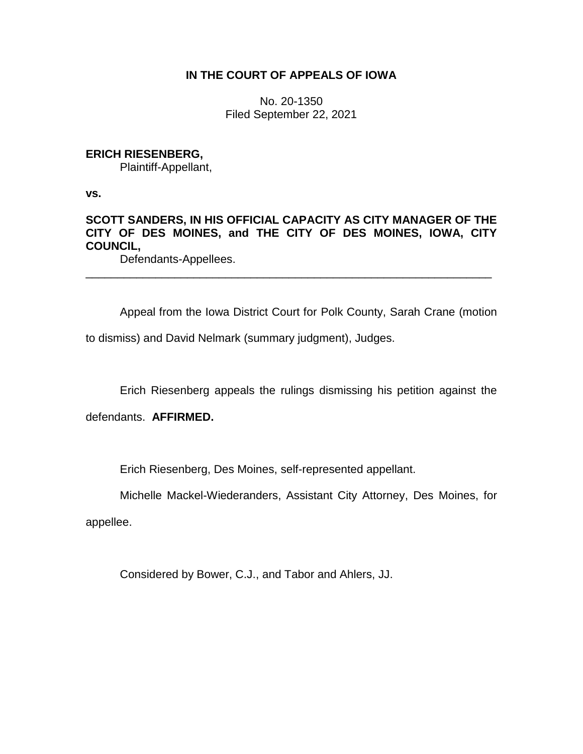## **IN THE COURT OF APPEALS OF IOWA**

No. 20-1350 Filed September 22, 2021

### **ERICH RIESENBERG,**

Plaintiff-Appellant,

**vs.**

# **SCOTT SANDERS, IN HIS OFFICIAL CAPACITY AS CITY MANAGER OF THE CITY OF DES MOINES, and THE CITY OF DES MOINES, IOWA, CITY COUNCIL,**

\_\_\_\_\_\_\_\_\_\_\_\_\_\_\_\_\_\_\_\_\_\_\_\_\_\_\_\_\_\_\_\_\_\_\_\_\_\_\_\_\_\_\_\_\_\_\_\_\_\_\_\_\_\_\_\_\_\_\_\_\_\_\_\_

Defendants-Appellees.

Appeal from the Iowa District Court for Polk County, Sarah Crane (motion

to dismiss) and David Nelmark (summary judgment), Judges.

Erich Riesenberg appeals the rulings dismissing his petition against the

defendants. **AFFIRMED.**

Erich Riesenberg, Des Moines, self-represented appellant.

Michelle Mackel-Wiederanders, Assistant City Attorney, Des Moines, for

appellee.

Considered by Bower, C.J., and Tabor and Ahlers, JJ.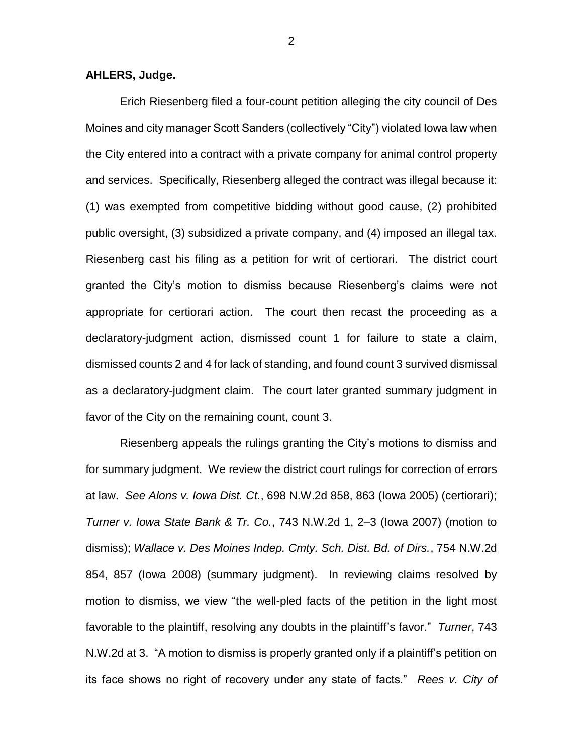#### **AHLERS, Judge.**

Erich Riesenberg filed a four-count petition alleging the city council of Des Moines and city manager Scott Sanders (collectively "City") violated Iowa law when the City entered into a contract with a private company for animal control property and services. Specifically, Riesenberg alleged the contract was illegal because it: (1) was exempted from competitive bidding without good cause, (2) prohibited public oversight, (3) subsidized a private company, and (4) imposed an illegal tax. Riesenberg cast his filing as a petition for writ of certiorari. The district court granted the City's motion to dismiss because Riesenberg's claims were not appropriate for certiorari action. The court then recast the proceeding as a declaratory-judgment action, dismissed count 1 for failure to state a claim, dismissed counts 2 and 4 for lack of standing, and found count 3 survived dismissal as a declaratory-judgment claim. The court later granted summary judgment in favor of the City on the remaining count, count 3.

Riesenberg appeals the rulings granting the City's motions to dismiss and for summary judgment. We review the district court rulings for correction of errors at law. *See Alons v. Iowa Dist. Ct.*, 698 N.W.2d 858, 863 (Iowa 2005) (certiorari); *Turner v. Iowa State Bank & Tr. Co.*, 743 N.W.2d 1, 2–3 (Iowa 2007) (motion to dismiss); *Wallace v. Des Moines Indep. Cmty. Sch. Dist. Bd. of Dirs.*, 754 N.W.2d 854, 857 (Iowa 2008) (summary judgment). In reviewing claims resolved by motion to dismiss, we view "the well-pled facts of the petition in the light most favorable to the plaintiff, resolving any doubts in the plaintiff's favor." *Turner*, 743 N.W.2d at 3. "A motion to dismiss is properly granted only if a plaintiff's petition on its face shows no right of recovery under any state of facts." *Rees v. City of* 

2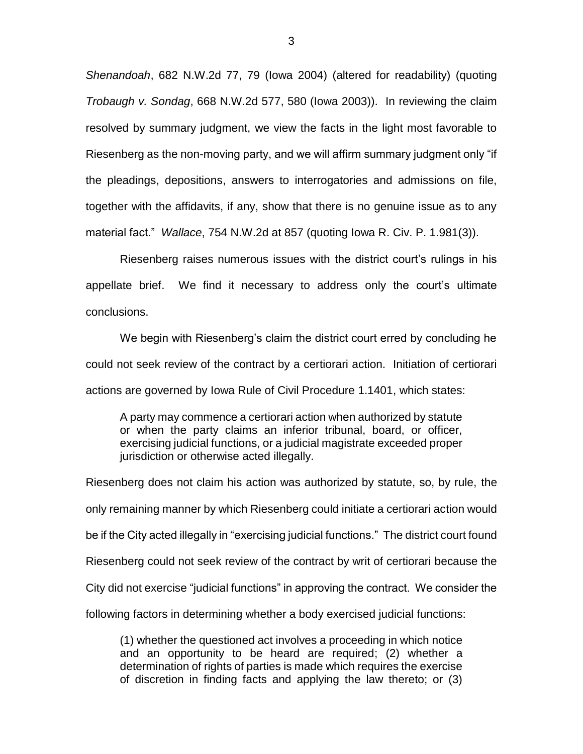*Shenandoah*, 682 N.W.2d 77, 79 (Iowa 2004) (altered for readability) (quoting *Trobaugh v. Sondag*, 668 N.W.2d 577, 580 (Iowa 2003)).In reviewing the claim resolved by summary judgment, we view the facts in the light most favorable to Riesenberg as the non-moving party, and we will affirm summary judgment only "if the pleadings, depositions, answers to interrogatories and admissions on file, together with the affidavits, if any, show that there is no genuine issue as to any material fact." *Wallace*, 754 N.W.2d at 857 (quoting Iowa R. Civ. P. 1.981(3)).

Riesenberg raises numerous issues with the district court's rulings in his appellate brief. We find it necessary to address only the court's ultimate conclusions.

We begin with Riesenberg's claim the district court erred by concluding he could not seek review of the contract by a certiorari action. Initiation of certiorari actions are governed by Iowa Rule of Civil Procedure 1.1401, which states:

A party may commence a certiorari action when authorized by statute or when the party claims an inferior tribunal, board, or officer, exercising judicial functions, or a judicial magistrate exceeded proper jurisdiction or otherwise acted illegally.

Riesenberg does not claim his action was authorized by statute, so, by rule, the only remaining manner by which Riesenberg could initiate a certiorari action would be if the City acted illegally in "exercising judicial functions." The district court found Riesenberg could not seek review of the contract by writ of certiorari because the City did not exercise "judicial functions" in approving the contract. We consider the following factors in determining whether a body exercised judicial functions:

(1) whether the questioned act involves a proceeding in which notice and an opportunity to be heard are required; (2) whether a determination of rights of parties is made which requires the exercise of discretion in finding facts and applying the law thereto; or (3)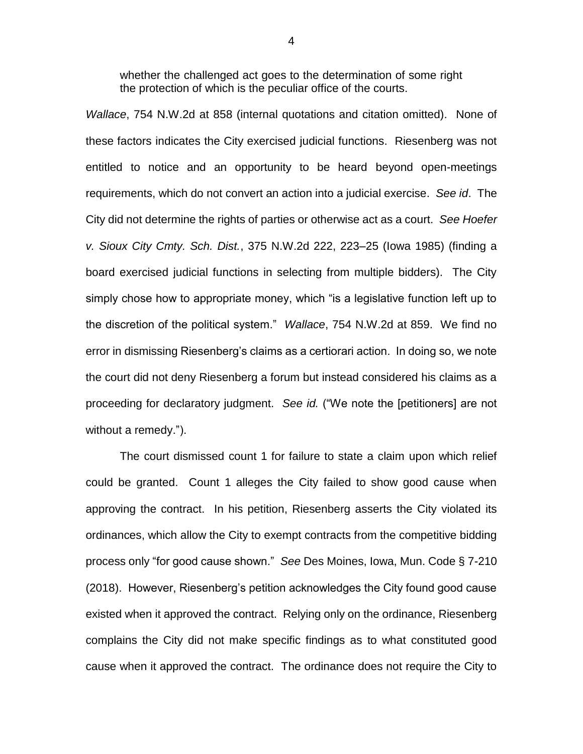whether the challenged act goes to the determination of some right the protection of which is the peculiar office of the courts.

*Wallace*, 754 N.W.2d at 858 (internal quotations and citation omitted). None of these factors indicates the City exercised judicial functions. Riesenberg was not entitled to notice and an opportunity to be heard beyond open-meetings requirements, which do not convert an action into a judicial exercise. *See id*. The City did not determine the rights of parties or otherwise act as a court. *See Hoefer v. Sioux City Cmty. Sch. Dist.*, 375 N.W.2d 222, 223–25 (Iowa 1985) (finding a board exercised judicial functions in selecting from multiple bidders). The City simply chose how to appropriate money, which "is a legislative function left up to the discretion of the political system." *Wallace*, 754 N.W.2d at 859. We find no error in dismissing Riesenberg's claims as a certiorari action. In doing so, we note the court did not deny Riesenberg a forum but instead considered his claims as a proceeding for declaratory judgment. *See id.* ("We note the [petitioners] are not without a remedy.").

The court dismissed count 1 for failure to state a claim upon which relief could be granted. Count 1 alleges the City failed to show good cause when approving the contract. In his petition, Riesenberg asserts the City violated its ordinances, which allow the City to exempt contracts from the competitive bidding process only "for good cause shown." *See* Des Moines, Iowa, Mun. Code § 7-210 (2018). However, Riesenberg's petition acknowledges the City found good cause existed when it approved the contract. Relying only on the ordinance, Riesenberg complains the City did not make specific findings as to what constituted good cause when it approved the contract. The ordinance does not require the City to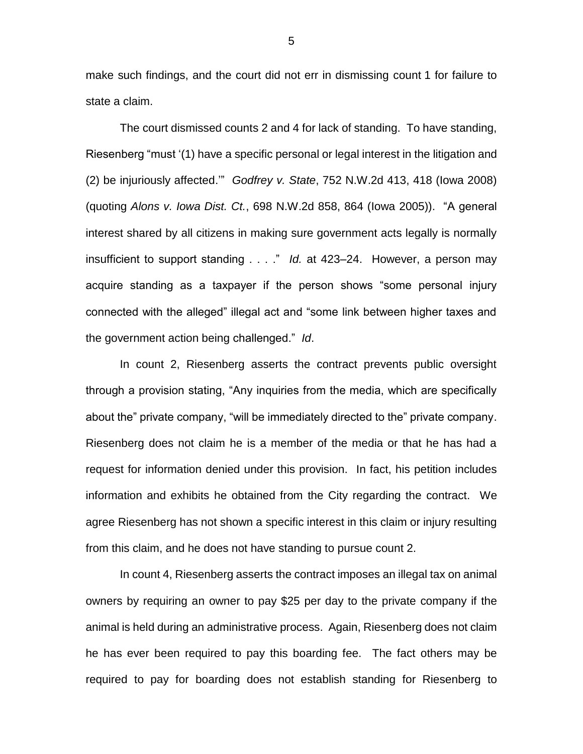make such findings, and the court did not err in dismissing count 1 for failure to state a claim.

The court dismissed counts 2 and 4 for lack of standing. To have standing, Riesenberg "must '(1) have a specific personal or legal interest in the litigation and (2) be injuriously affected.'" *Godfrey v. State*, 752 N.W.2d 413, 418 (Iowa 2008) (quoting *Alons v. Iowa Dist. Ct.*, 698 N.W.2d 858, 864 (Iowa 2005)). "A general interest shared by all citizens in making sure government acts legally is normally insufficient to support standing . . . ." *Id.* at 423–24. However, a person may acquire standing as a taxpayer if the person shows "some personal injury connected with the alleged" illegal act and "some link between higher taxes and the government action being challenged." *Id*.

In count 2, Riesenberg asserts the contract prevents public oversight through a provision stating, "Any inquiries from the media, which are specifically about the" private company, "will be immediately directed to the" private company. Riesenberg does not claim he is a member of the media or that he has had a request for information denied under this provision. In fact, his petition includes information and exhibits he obtained from the City regarding the contract. We agree Riesenberg has not shown a specific interest in this claim or injury resulting from this claim, and he does not have standing to pursue count 2.

In count 4, Riesenberg asserts the contract imposes an illegal tax on animal owners by requiring an owner to pay \$25 per day to the private company if the animal is held during an administrative process. Again, Riesenberg does not claim he has ever been required to pay this boarding fee. The fact others may be required to pay for boarding does not establish standing for Riesenberg to

5